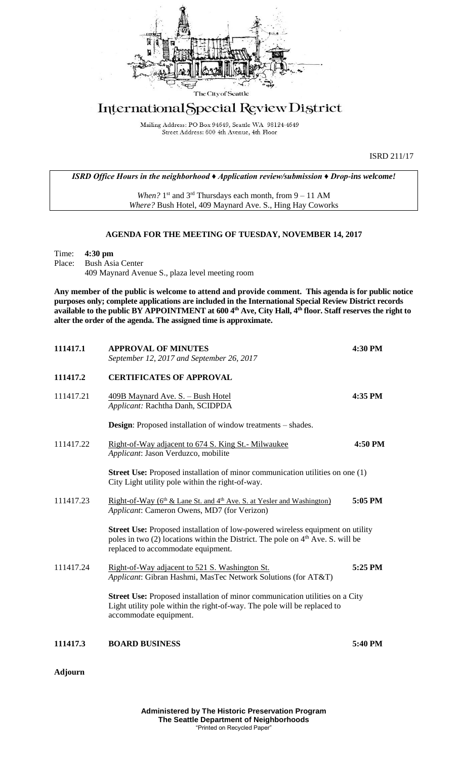

## International Special Review District

Mailing Address: PO Box 94649, Seattle WA 98124-4649 Street Address: 600 4th Avenue, 4th Floor

ISRD 211/17

*ISRD Office Hours in the neighborhood ♦ Application review/submission ♦ Drop-ins welcome!*

When?  $1<sup>st</sup>$  and  $3<sup>rd</sup>$  Thursdays each month, from  $9 - 11$  AM *Where?* Bush Hotel, 409 Maynard Ave. S., Hing Hay Coworks

## **AGENDA FOR THE MEETING OF TUESDAY, NOVEMBER 14, 2017**

Time: **4:30 pm** Place: Bush Asia Center 409 Maynard Avenue S., plaza level meeting room

**Any member of the public is welcome to attend and provide comment. This agenda is for public notice purposes only; complete applications are included in the International Special Review District records available to the public BY APPOINTMENT at 600 4th Ave, City Hall, 4th floor. Staff reserves the right to alter the order of the agenda. The assigned time is approximate.** 

| 111417.1  | <b>APPROVAL OF MINUTES</b><br>September 12, 2017 and September 26, 2017                                                                                                                                            | 4:30 PM |
|-----------|--------------------------------------------------------------------------------------------------------------------------------------------------------------------------------------------------------------------|---------|
| 111417.2  | <b>CERTIFICATES OF APPROVAL</b>                                                                                                                                                                                    |         |
| 111417.21 | 409B Maynard Ave. S. - Bush Hotel<br>Applicant: Rachtha Danh, SCIDPDA                                                                                                                                              | 4:35 PM |
|           | <b>Design:</b> Proposed installation of window treatments – shades.                                                                                                                                                |         |
| 111417.22 | <u>Right-of-Way adjacent to 674 S. King St.- Milwaukee</u><br>Applicant: Jason Verduzco, mobilite                                                                                                                  | 4:50 PM |
|           | <b>Street Use:</b> Proposed installation of minor communication utilities on one (1)<br>City Light utility pole within the right-of-way.                                                                           |         |
| 111417.23 | Right-of-Way (6 <sup>th</sup> & Lane St. and 4 <sup>th</sup> Ave. S. at Yesler and Washington)<br>Applicant: Cameron Owens, MD7 (for Verizon)                                                                      | 5:05 PM |
|           | <b>Street Use:</b> Proposed installation of low-powered wireless equipment on utility<br>poles in two $(2)$ locations within the District. The pole on $4th$ Ave. S. will be<br>replaced to accommodate equipment. |         |
| 111417.24 | Right-of-Way adjacent to 521 S. Washington St.<br>Applicant: Gibran Hashmi, MasTec Network Solutions (for AT&T)                                                                                                    | 5:25 PM |
|           | <b>Street Use:</b> Proposed installation of minor communication utilities on a City<br>Light utility pole within the right-of-way. The pole will be replaced to<br>accommodate equipment.                          |         |
| 111417.3  | <b>BOARD BUSINESS</b>                                                                                                                                                                                              | 5:40 PM |

**Adjourn**